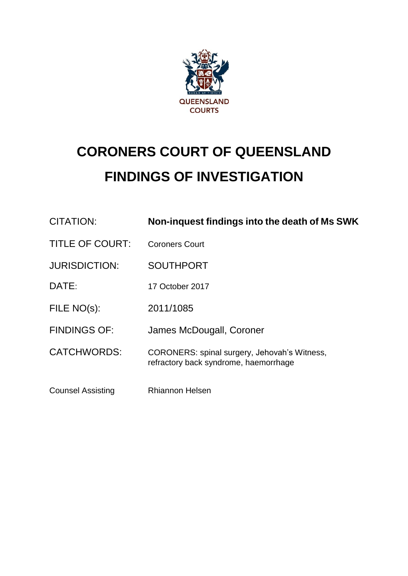

# **CORONERS COURT OF QUEENSLAND FINDINGS OF INVESTIGATION**

| <b>CITATION:</b>         | Non-inquest findings into the death of Ms SWK                                         |
|--------------------------|---------------------------------------------------------------------------------------|
| <b>TITLE OF COURT:</b>   | <b>Coroners Court</b>                                                                 |
| <b>JURISDICTION:</b>     | <b>SOUTHPORT</b>                                                                      |
| DATE:                    | 17 October 2017                                                                       |
| FILE NO(s):              | 2011/1085                                                                             |
| <b>FINDINGS OF:</b>      | James McDougall, Coroner                                                              |
| <b>CATCHWORDS:</b>       | CORONERS: spinal surgery, Jehovah's Witness,<br>refractory back syndrome, haemorrhage |
| <b>Counsel Assisting</b> | <b>Rhiannon Helsen</b>                                                                |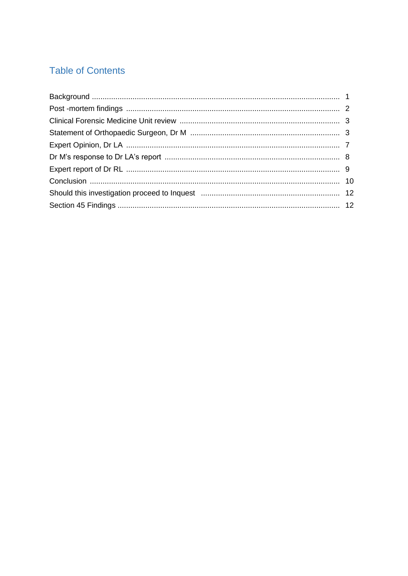# **Table of Contents**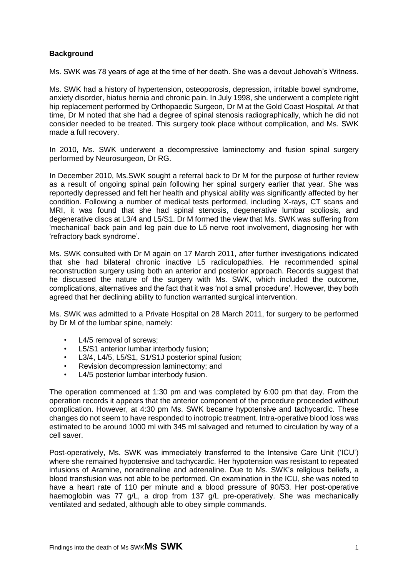# <span id="page-2-0"></span>**Background**

Ms. SWK was 78 years of age at the time of her death. She was a devout Jehovah's Witness.

Ms. SWK had a history of hypertension, osteoporosis, depression, irritable bowel syndrome, anxiety disorder, hiatus hernia and chronic pain. In July 1998, she underwent a complete right hip replacement performed by Orthopaedic Surgeon, Dr M at the Gold Coast Hospital. At that time, Dr M noted that she had a degree of spinal stenosis radiographically, which he did not consider needed to be treated. This surgery took place without complication, and Ms. SWK made a full recovery.

In 2010, Ms. SWK underwent a decompressive laminectomy and fusion spinal surgery performed by Neurosurgeon, Dr RG.

In December 2010, Ms.SWK sought a referral back to Dr M for the purpose of further review as a result of ongoing spinal pain following her spinal surgery earlier that year. She was reportedly depressed and felt her health and physical ability was significantly affected by her condition. Following a number of medical tests performed, including X-rays, CT scans and MRI, it was found that she had spinal stenosis, degenerative lumbar scoliosis, and degenerative discs at L3/4 and L5/S1. Dr M formed the view that Ms. SWK was suffering from 'mechanical' back pain and leg pain due to L5 nerve root involvement, diagnosing her with 'refractory back syndrome'.

Ms. SWK consulted with Dr M again on 17 March 2011, after further investigations indicated that she had bilateral chronic inactive L5 radiculopathies. He recommended spinal reconstruction surgery using both an anterior and posterior approach. Records suggest that he discussed the nature of the surgery with Ms. SWK, which included the outcome, complications, alternatives and the fact that it was 'not a small procedure'. However, they both agreed that her declining ability to function warranted surgical intervention.

Ms. SWK was admitted to a Private Hospital on 28 March 2011, for surgery to be performed by Dr M of the lumbar spine, namely:

- L4/5 removal of screws:
- L5/S1 anterior lumbar interbody fusion;
- L3/4, L4/5, L5/S1, S1/S1J posterior spinal fusion;
- Revision decompression laminectomy; and
- L4/5 posterior lumbar interbody fusion.

The operation commenced at 1:30 pm and was completed by 6:00 pm that day. From the operation records it appears that the anterior component of the procedure proceeded without complication. However, at 4:30 pm Ms. SWK became hypotensive and tachycardic. These changes do not seem to have responded to inotropic treatment. Intra-operative blood loss was estimated to be around 1000 ml with 345 ml salvaged and returned to circulation by way of a cell saver.

Post-operatively, Ms. SWK was immediately transferred to the Intensive Care Unit ('ICU') where she remained hypotensive and tachycardic. Her hypotension was resistant to repeated infusions of Aramine, noradrenaline and adrenaline. Due to Ms. SWK's religious beliefs, a blood transfusion was not able to be performed. On examination in the ICU, she was noted to have a heart rate of 110 per minute and a blood pressure of 90/53. Her post-operative haemoglobin was 77 g/L, a drop from 137 g/L pre-operatively. She was mechanically ventilated and sedated, although able to obey simple commands.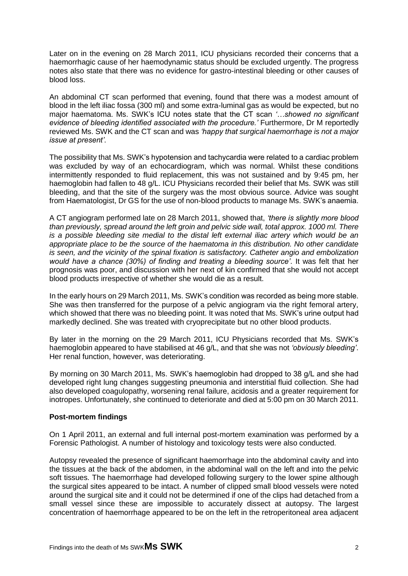Later on in the evening on 28 March 2011, ICU physicians recorded their concerns that a haemorrhagic cause of her haemodynamic status should be excluded urgently. The progress notes also state that there was no evidence for gastro-intestinal bleeding or other causes of blood loss.

An abdominal CT scan performed that evening, found that there was a modest amount of blood in the left iliac fossa (300 ml) and some extra-luminal gas as would be expected, but no major haematoma. Ms. SWK's ICU notes state that the CT scan *'…showed no significant evidence of bleeding identified associated with the procedure.'* Furthermore, Dr M reportedly reviewed Ms. SWK and the CT scan and was *'happy that surgical haemorrhage is not a major issue at present'*.

The possibility that Ms. SWK's hypotension and tachycardia were related to a cardiac problem was excluded by way of an echocardiogram, which was normal. Whilst these conditions intermittently responded to fluid replacement, this was not sustained and by 9:45 pm, her haemoglobin had fallen to 48 g/L. ICU Physicians recorded their belief that Ms. SWK was still bleeding, and that the site of the surgery was the most obvious source. Advice was sought from Haematologist, Dr GS for the use of non-blood products to manage Ms. SWK's anaemia.

A CT angiogram performed late on 28 March 2011, showed that, *'there is slightly more blood than previously, spread around the left groin and pelvic side wall, total approx. 1000 ml. There is a possible bleeding site medial to the distal left external iliac artery which would be an appropriate place to be the source of the haematoma in this distribution. No other candidate is seen, and the vicinity of the spinal fixation is satisfactory. Catheter angio and embolization would have a chance (30%) of finding and treating a bleeding source'*. It was felt that her prognosis was poor, and discussion with her next of kin confirmed that she would not accept blood products irrespective of whether she would die as a result.

In the early hours on 29 March 2011, Ms. SWK's condition was recorded as being more stable. She was then transferred for the purpose of a pelvic angiogram via the right femoral artery, which showed that there was no bleeding point. It was noted that Ms. SWK's urine output had markedly declined. She was treated with cryoprecipitate but no other blood products.

By later in the morning on the 29 March 2011, ICU Physicians recorded that Ms. SWK's haemoglobin appeared to have stabilised at 46 g/L, and that she was not *'obviously bleeding'*. Her renal function, however, was deteriorating.

By morning on 30 March 2011, Ms. SWK's haemoglobin had dropped to 38 g/L and she had developed right lung changes suggesting pneumonia and interstitial fluid collection. She had also developed coagulopathy, worsening renal failure, acidosis and a greater requirement for inotropes. Unfortunately, she continued to deteriorate and died at 5:00 pm on 30 March 2011.

# <span id="page-3-0"></span>**Post-mortem findings**

On 1 April 2011, an external and full internal post-mortem examination was performed by a Forensic Pathologist. A number of histology and toxicology tests were also conducted.

Autopsy revealed the presence of significant haemorrhage into the abdominal cavity and into the tissues at the back of the abdomen, in the abdominal wall on the left and into the pelvic soft tissues. The haemorrhage had developed following surgery to the lower spine although the surgical sites appeared to be intact. A number of clipped small blood vessels were noted around the surgical site and it could not be determined if one of the clips had detached from a small vessel since these are impossible to accurately dissect at autopsy. The largest concentration of haemorrhage appeared to be on the left in the retroperitoneal area adjacent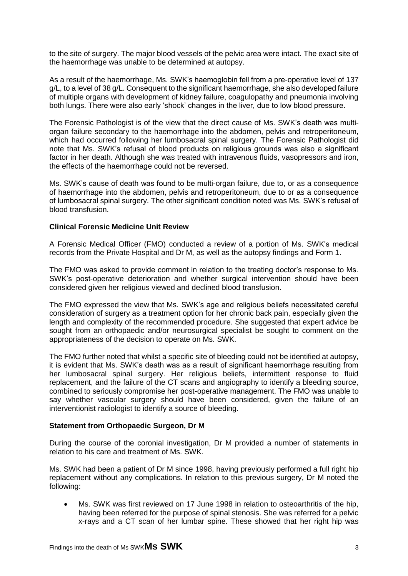to the site of surgery. The major blood vessels of the pelvic area were intact. The exact site of the haemorrhage was unable to be determined at autopsy.

As a result of the haemorrhage, Ms. SWK's haemoglobin fell from a pre-operative level of 137 g/L, to a level of 38 g/L. Consequent to the significant haemorrhage, she also developed failure of multiple organs with development of kidney failure, coagulopathy and pneumonia involving both lungs. There were also early 'shock' changes in the liver, due to low blood pressure.

The Forensic Pathologist is of the view that the direct cause of Ms. SWK's death was multiorgan failure secondary to the haemorrhage into the abdomen, pelvis and retroperitoneum, which had occurred following her lumbosacral spinal surgery. The Forensic Pathologist did note that Ms. SWK's refusal of blood products on religious grounds was also a significant factor in her death. Although she was treated with intravenous fluids, vasopressors and iron, the effects of the haemorrhage could not be reversed.

Ms. SWK's cause of death was found to be multi-organ failure, due to, or as a consequence of haemorrhage into the abdomen, pelvis and retroperitoneum, due to or as a consequence of lumbosacral spinal surgery. The other significant condition noted was Ms. SWK's refusal of blood transfusion.

# <span id="page-4-0"></span>**Clinical Forensic Medicine Unit Review**

A Forensic Medical Officer (FMO) conducted a review of a portion of Ms. SWK's medical records from the Private Hospital and Dr M, as well as the autopsy findings and Form 1.

The FMO was asked to provide comment in relation to the treating doctor's response to Ms. SWK's post-operative deterioration and whether surgical intervention should have been considered given her religious viewed and declined blood transfusion.

The FMO expressed the view that Ms. SWK's age and religious beliefs necessitated careful consideration of surgery as a treatment option for her chronic back pain, especially given the length and complexity of the recommended procedure. She suggested that expert advice be sought from an orthopaedic and/or neurosurgical specialist be sought to comment on the appropriateness of the decision to operate on Ms. SWK.

The FMO further noted that whilst a specific site of bleeding could not be identified at autopsy, it is evident that Ms. SWK's death was as a result of significant haemorrhage resulting from her lumbosacral spinal surgery. Her religious beliefs, intermittent response to fluid replacement, and the failure of the CT scans and angiography to identify a bleeding source, combined to seriously compromise her post-operative management. The FMO was unable to say whether vascular surgery should have been considered, given the failure of an interventionist radiologist to identify a source of bleeding.

#### <span id="page-4-1"></span>**Statement from Orthopaedic Surgeon, Dr M**

During the course of the coronial investigation, Dr M provided a number of statements in relation to his care and treatment of Ms. SWK.

Ms. SWK had been a patient of Dr M since 1998, having previously performed a full right hip replacement without any complications. In relation to this previous surgery, Dr M noted the following:

 Ms. SWK was first reviewed on 17 June 1998 in relation to osteoarthritis of the hip, having been referred for the purpose of spinal stenosis. She was referred for a pelvic x-rays and a CT scan of her lumbar spine. These showed that her right hip was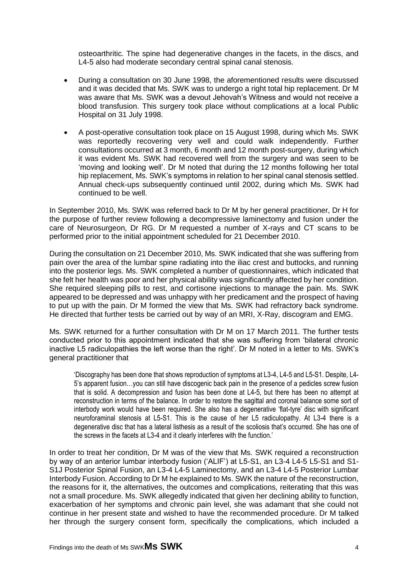osteoarthritic. The spine had degenerative changes in the facets, in the discs, and L4-5 also had moderate secondary central spinal canal stenosis.

- During a consultation on 30 June 1998, the aforementioned results were discussed and it was decided that Ms. SWK was to undergo a right total hip replacement. Dr M was aware that Ms. SWK was a devout Jehovah's Witness and would not receive a blood transfusion. This surgery took place without complications at a local Public Hospital on 31 July 1998.
- A post-operative consultation took place on 15 August 1998, during which Ms. SWK was reportedly recovering very well and could walk independently. Further consultations occurred at 3 month, 6 month and 12 month post-surgery, during which it was evident Ms. SWK had recovered well from the surgery and was seen to be 'moving and looking well'. Dr M noted that during the 12 months following her total hip replacement, Ms. SWK's symptoms in relation to her spinal canal stenosis settled. Annual check-ups subsequently continued until 2002, during which Ms. SWK had continued to be well.

In September 2010, Ms. SWK was referred back to Dr M by her general practitioner, Dr H for the purpose of further review following a decompressive laminectomy and fusion under the care of Neurosurgeon, Dr RG. Dr M requested a number of X-rays and CT scans to be performed prior to the initial appointment scheduled for 21 December 2010.

During the consultation on 21 December 2010, Ms. SWK indicated that she was suffering from pain over the area of the lumbar spine radiating into the iliac crest and buttocks, and running into the posterior legs. Ms. SWK completed a number of questionnaires, which indicated that she felt her health was poor and her physical ability was significantly affected by her condition. She required sleeping pills to rest, and cortisone injections to manage the pain. Ms. SWK appeared to be depressed and was unhappy with her predicament and the prospect of having to put up with the pain. Dr M formed the view that Ms. SWK had refractory back syndrome. He directed that further tests be carried out by way of an MRI, X-Ray, discogram and EMG.

Ms. SWK returned for a further consultation with Dr M on 17 March 2011. The further tests conducted prior to this appointment indicated that she was suffering from 'bilateral chronic inactive L5 radiculopathies the left worse than the right'. Dr M noted in a letter to Ms. SWK's general practitioner that

'Discography has been done that shows reproduction of symptoms at L3-4, L4-5 and L5-S1. Despite, L4- 5's apparent fusion…you can still have discogenic back pain in the presence of a pedicles screw fusion that is solid. A decompression and fusion has been done at L4-5, but there has been no attempt at reconstruction in terms of the balance. In order to restore the sagittal and coronal balance some sort of interbody work would have been required. She also has a degenerative 'flat-tyre' disc with significant neuroforaminal stenosis at L5-S1. This is the cause of her L5 radiculopathy. At L3-4 there is a degenerative disc that has a lateral listhesis as a result of the scoliosis that's occurred. She has one of the screws in the facets at L3-4 and it clearly interferes with the function.'

In order to treat her condition, Dr M was of the view that Ms. SWK required a reconstruction by way of an anterior lumbar interbody fusion ('ALIF') at L5-S1, an L3-4 L4-5 L5-S1 and S1- S1J Posterior Spinal Fusion, an L3-4 L4-5 Laminectomy, and an L3-4 L4-5 Posterior Lumbar Interbody Fusion. According to Dr M he explained to Ms. SWK the nature of the reconstruction, the reasons for it, the alternatives, the outcomes and complications, reiterating that this was not a small procedure. Ms. SWK allegedly indicated that given her declining ability to function, exacerbation of her symptoms and chronic pain level, she was adamant that she could not continue in her present state and wished to have the recommended procedure. Dr M talked her through the surgery consent form, specifically the complications, which included a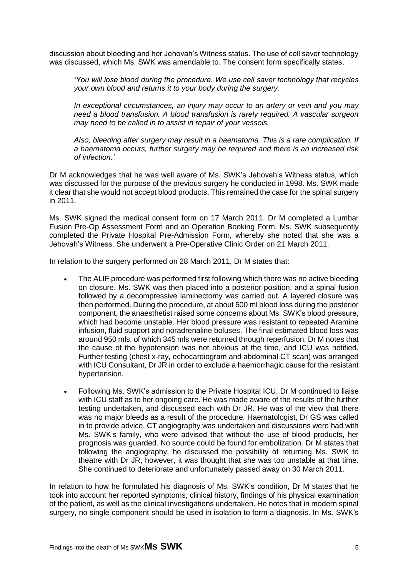discussion about bleeding and her Jehovah's Witness status. The use of cell saver technology was discussed, which Ms. SWK was amendable to. The consent form specifically states,

*'You will lose blood during the procedure. We use cell saver technology that recycles your own blood and returns it to your body during the surgery.* 

*In exceptional circumstances, an injury may occur to an artery or vein and you may need a blood transfusion. A blood transfusion is rarely required. A vascular surgeon may need to be called in to assist in repair of your vessels.* 

*Also, bleeding after surgery may result in a haematoma. This is a rare complication. If a haematoma occurs, further surgery may be required and there is an increased risk of infection.'* 

Dr M acknowledges that he was well aware of Ms. SWK's Jehovah's Witness status, which was discussed for the purpose of the previous surgery he conducted in 1998. Ms. SWK made it clear that she would not accept blood products. This remained the case for the spinal surgery in 2011.

Ms. SWK signed the medical consent form on 17 March 2011. Dr M completed a Lumbar Fusion Pre-Op Assessment Form and an Operation Booking Form. Ms. SWK subsequently completed the Private Hospital Pre-Admission Form, whereby she noted that she was a Jehovah's Witness. She underwent a Pre-Operative Clinic Order on 21 March 2011.

In relation to the surgery performed on 28 March 2011, Dr M states that:

- The ALIF procedure was performed first following which there was no active bleeding on closure. Ms. SWK was then placed into a posterior position, and a spinal fusion followed by a decompressive laminectomy was carried out. A layered closure was then performed. During the procedure, at about 500 ml blood loss during the posterior component, the anaesthetist raised some concerns about Ms. SWK's blood pressure, which had become unstable. Her blood pressure was resistant to repeated Aramine infusion, fluid support and noradrenaline boluses. The final estimated blood loss was around 950 mls, of which 345 mls were returned through reperfusion. Dr M notes that the cause of the hypotension was not obvious at the time, and ICU was notified. Further testing (chest x-ray, echocardiogram and abdominal CT scan) was arranged with ICU Consultant, Dr JR in order to exclude a haemorrhagic cause for the resistant hypertension.
- Following Ms. SWK's admission to the Private Hospital ICU, Dr M continued to liaise with ICU staff as to her ongoing care. He was made aware of the results of the further testing undertaken, and discussed each with Dr JR. He was of the view that there was no major bleeds as a result of the procedure. Haematologist, Dr GS was called in to provide advice. CT angiography was undertaken and discussions were had with Ms. SWK's family, who were advised that without the use of blood products, her prognosis was guarded. No source could be found for embolization. Dr M states that following the angiography, he discussed the possibility of returning Ms. SWK to theatre with Dr JR, however, it was thought that she was too unstable at that time. She continued to deteriorate and unfortunately passed away on 30 March 2011.

In relation to how he formulated his diagnosis of Ms. SWK's condition, Dr M states that he took into account her reported symptoms, clinical history, findings of his physical examination of the patient, as well as the clinical investigations undertaken. He notes that in modern spinal surgery, no single component should be used in isolation to form a diagnosis. In Ms. SWK's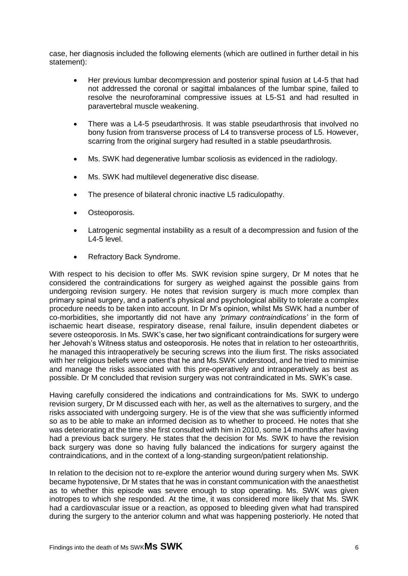case, her diagnosis included the following elements (which are outlined in further detail in his statement):

- Her previous lumbar decompression and posterior spinal fusion at L4-5 that had not addressed the coronal or sagittal imbalances of the lumbar spine, failed to resolve the neuroforaminal compressive issues at L5-S1 and had resulted in paravertebral muscle weakening.
- There was a L4-5 pseudarthrosis. It was stable pseudarthrosis that involved no bony fusion from transverse process of L4 to transverse process of L5. However, scarring from the original surgery had resulted in a stable pseudarthrosis.
- Ms. SWK had degenerative lumbar scoliosis as evidenced in the radiology.
- Ms. SWK had multilevel degenerative disc disease.
- The presence of bilateral chronic inactive L5 radiculopathy.
- Osteoporosis.
- Latrogenic segmental instability as a result of a decompression and fusion of the L4-5 level.
- Refractory Back Syndrome.

With respect to his decision to offer Ms. SWK revision spine surgery, Dr M notes that he considered the contraindications for surgery as weighed against the possible gains from undergoing revision surgery. He notes that revision surgery is much more complex than primary spinal surgery, and a patient's physical and psychological ability to tolerate a complex procedure needs to be taken into account. In Dr M's opinion, whilst Ms SWK had a number of co-morbidities, she importantly did not have any *'primary contraindications'* in the form of ischaemic heart disease, respiratory disease, renal failure, insulin dependent diabetes or severe osteoporosis. In Ms. SWK's case, her two significant contraindications for surgery were her Jehovah's Witness status and osteoporosis. He notes that in relation to her osteoarthritis, he managed this intraoperatively be securing screws into the ilium first. The risks associated with her religious beliefs were ones that he and Ms.SWK understood, and he tried to minimise and manage the risks associated with this pre-operatively and intraoperatively as best as possible. Dr M concluded that revision surgery was not contraindicated in Ms. SWK's case.

Having carefully considered the indications and contraindications for Ms. SWK to undergo revision surgery, Dr M discussed each with her, as well as the alternatives to surgery, and the risks associated with undergoing surgery. He is of the view that she was sufficiently informed so as to be able to make an informed decision as to whether to proceed. He notes that she was deteriorating at the time she first consulted with him in 2010, some 14 months after having had a previous back surgery. He states that the decision for Ms. SWK to have the revision back surgery was done so having fully balanced the indications for surgery against the contraindications, and in the context of a long-standing surgeon/patient relationship.

In relation to the decision not to re-explore the anterior wound during surgery when Ms. SWK became hypotensive, Dr M states that he was in constant communication with the anaesthetist as to whether this episode was severe enough to stop operating. Ms. SWK was given inotropes to which she responded. At the time, it was considered more likely that Ms. SWK had a cardiovascular issue or a reaction, as opposed to bleeding given what had transpired during the surgery to the anterior column and what was happening posteriorly. He noted that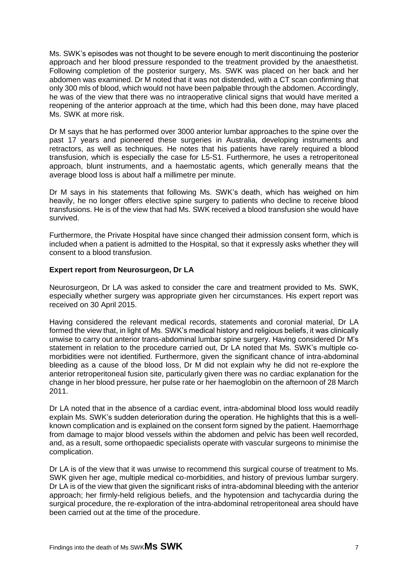Ms. SWK's episodes was not thought to be severe enough to merit discontinuing the posterior approach and her blood pressure responded to the treatment provided by the anaesthetist. Following completion of the posterior surgery, Ms. SWK was placed on her back and her abdomen was examined. Dr M noted that it was not distended, with a CT scan confirming that only 300 mls of blood, which would not have been palpable through the abdomen. Accordingly, he was of the view that there was no intraoperative clinical signs that would have merited a reopening of the anterior approach at the time, which had this been done, may have placed Ms. SWK at more risk.

Dr M says that he has performed over 3000 anterior lumbar approaches to the spine over the past 17 years and pioneered these surgeries in Australia, developing instruments and retractors, as well as techniques. He notes that his patients have rarely required a blood transfusion, which is especially the case for L5-S1. Furthermore, he uses a retroperitoneal approach, blunt instruments, and a haemostatic agents, which generally means that the average blood loss is about half a millimetre per minute.

Dr M says in his statements that following Ms. SWK's death, which has weighed on him heavily, he no longer offers elective spine surgery to patients who decline to receive blood transfusions. He is of the view that had Ms. SWK received a blood transfusion she would have survived.

Furthermore, the Private Hospital have since changed their admission consent form, which is included when a patient is admitted to the Hospital, so that it expressly asks whether they will consent to a blood transfusion.

#### <span id="page-8-0"></span>**Expert report from Neurosurgeon, Dr LA**

Neurosurgeon, Dr LA was asked to consider the care and treatment provided to Ms. SWK, especially whether surgery was appropriate given her circumstances. His expert report was received on 30 April 2015.

Having considered the relevant medical records, statements and coronial material, Dr LA formed the view that, in light of Ms. SWK's medical history and religious beliefs, it was clinically unwise to carry out anterior trans-abdominal lumbar spine surgery. Having considered Dr M's statement in relation to the procedure carried out, Dr LA noted that Ms. SWK's multiple comorbidities were not identified. Furthermore, given the significant chance of intra-abdominal bleeding as a cause of the blood loss, Dr M did not explain why he did not re-explore the anterior retroperitoneal fusion site, particularly given there was no cardiac explanation for the change in her blood pressure, her pulse rate or her haemoglobin on the afternoon of 28 March 2011.

Dr LA noted that in the absence of a cardiac event, intra-abdominal blood loss would readily explain Ms. SWK's sudden deterioration during the operation. He highlights that this is a wellknown complication and is explained on the consent form signed by the patient. Haemorrhage from damage to major blood vessels within the abdomen and pelvic has been well recorded, and, as a result, some orthopaedic specialists operate with vascular surgeons to minimise the complication.

Dr LA is of the view that it was unwise to recommend this surgical course of treatment to Ms. SWK given her age, multiple medical co-morbidities, and history of previous lumbar surgery. Dr LA is of the view that given the significant risks of intra-abdominal bleeding with the anterior approach; her firmly-held religious beliefs, and the hypotension and tachycardia during the surgical procedure, the re-exploration of the intra-abdominal retroperitoneal area should have been carried out at the time of the procedure.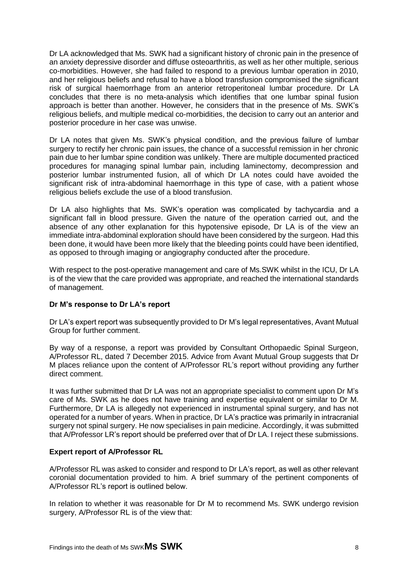Dr LA acknowledged that Ms. SWK had a significant history of chronic pain in the presence of an anxiety depressive disorder and diffuse osteoarthritis, as well as her other multiple, serious co-morbidities. However, she had failed to respond to a previous lumbar operation in 2010, and her religious beliefs and refusal to have a blood transfusion compromised the significant risk of surgical haemorrhage from an anterior retroperitoneal lumbar procedure. Dr LA concludes that there is no meta-analysis which identifies that one lumbar spinal fusion approach is better than another. However, he considers that in the presence of Ms. SWK's religious beliefs, and multiple medical co-morbidities, the decision to carry out an anterior and posterior procedure in her case was unwise.

Dr LA notes that given Ms. SWK's physical condition, and the previous failure of lumbar surgery to rectify her chronic pain issues, the chance of a successful remission in her chronic pain due to her lumbar spine condition was unlikely. There are multiple documented practiced procedures for managing spinal lumbar pain, including laminectomy, decompression and posterior lumbar instrumented fusion, all of which Dr LA notes could have avoided the significant risk of intra-abdominal haemorrhage in this type of case, with a patient whose religious beliefs exclude the use of a blood transfusion.

Dr LA also highlights that Ms. SWK's operation was complicated by tachycardia and a significant fall in blood pressure. Given the nature of the operation carried out, and the absence of any other explanation for this hypotensive episode, Dr LA is of the view an immediate intra-abdominal exploration should have been considered by the surgeon. Had this been done, it would have been more likely that the bleeding points could have been identified, as opposed to through imaging or angiography conducted after the procedure.

With respect to the post-operative management and care of Ms.SWK whilst in the ICU, Dr LA is of the view that the care provided was appropriate, and reached the international standards of management.

# <span id="page-9-0"></span>**Dr M's response to Dr LA's report**

Dr LA's expert report was subsequently provided to Dr M's legal representatives, Avant Mutual Group for further comment.

By way of a response, a report was provided by Consultant Orthopaedic Spinal Surgeon, A/Professor RL, dated 7 December 2015. Advice from Avant Mutual Group suggests that Dr M places reliance upon the content of A/Professor RL's report without providing any further direct comment.

It was further submitted that Dr LA was not an appropriate specialist to comment upon Dr M's care of Ms. SWK as he does not have training and expertise equivalent or similar to Dr M. Furthermore, Dr LA is allegedly not experienced in instrumental spinal surgery, and has not operated for a number of years. When in practice, Dr LA's practice was primarily in intracranial surgery not spinal surgery. He now specialises in pain medicine. Accordingly, it was submitted that A/Professor LR's report should be preferred over that of Dr LA. I reject these submissions.

# **Expert report of A/Professor RL**

A/Professor RL was asked to consider and respond to Dr LA's report, as well as other relevant coronial documentation provided to him. A brief summary of the pertinent components of A/Professor RL's report is outlined below.

In relation to whether it was reasonable for Dr M to recommend Ms. SWK undergo revision surgery, A/Professor RL is of the view that: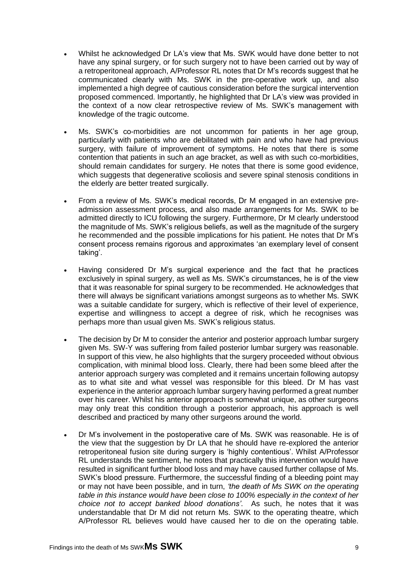- Whilst he acknowledged Dr LA's view that Ms. SWK would have done better to not have any spinal surgery, or for such surgery not to have been carried out by way of a retroperitoneal approach, A/Professor RL notes that Dr M's records suggest that he communicated clearly with Ms. SWK in the pre-operative work up, and also implemented a high degree of cautious consideration before the surgical intervention proposed commenced. Importantly, he highlighted that Dr LA's view was provided in the context of a now clear retrospective review of Ms. SWK's management with knowledge of the tragic outcome.
- Ms. SWK's co-morbidities are not uncommon for patients in her age group, particularly with patients who are debilitated with pain and who have had previous surgery, with failure of improvement of symptoms. He notes that there is some contention that patients in such an age bracket, as well as with such co-morbidities, should remain candidates for surgery. He notes that there is some good evidence, which suggests that degenerative scoliosis and severe spinal stenosis conditions in the elderly are better treated surgically.
- From a review of Ms. SWK's medical records, Dr M engaged in an extensive preadmission assessment process, and also made arrangements for Ms. SWK to be admitted directly to ICU following the surgery. Furthermore, Dr M clearly understood the magnitude of Ms. SWK's religious beliefs, as well as the magnitude of the surgery he recommended and the possible implications for his patient. He notes that Dr M's consent process remains rigorous and approximates 'an exemplary level of consent taking'.
- Having considered Dr M's surgical experience and the fact that he practices exclusively in spinal surgery, as well as Ms. SWK's circumstances, he is of the view that it was reasonable for spinal surgery to be recommended. He acknowledges that there will always be significant variations amongst surgeons as to whether Ms. SWK was a suitable candidate for surgery, which is reflective of their level of experience, expertise and willingness to accept a degree of risk, which he recognises was perhaps more than usual given Ms. SWK's religious status.
- The decision by Dr M to consider the anterior and posterior approach lumbar surgery given Ms. SW-Y was suffering from failed posterior lumbar surgery was reasonable. In support of this view, he also highlights that the surgery proceeded without obvious complication, with minimal blood loss. Clearly, there had been some bleed after the anterior approach surgery was completed and it remains uncertain following autopsy as to what site and what vessel was responsible for this bleed. Dr M has vast experience in the anterior approach lumbar surgery having performed a great number over his career. Whilst his anterior approach is somewhat unique, as other surgeons may only treat this condition through a posterior approach, his approach is well described and practiced by many other surgeons around the world.
- Dr M's involvement in the postoperative care of Ms. SWK was reasonable. He is of the view that the suggestion by Dr LA that he should have re-explored the anterior retroperitoneal fusion site during surgery is 'highly contentious'. Whilst A/Professor RL understands the sentiment, he notes that practically this intervention would have resulted in significant further blood loss and may have caused further collapse of Ms. SWK's blood pressure. Furthermore, the successful finding of a bleeding point may or may not have been possible, and in turn, *'the death of Ms SWK on the operating table in this instance would have been close to 100% especially in the context of her choice not to accept banked blood donations'*. As such, he notes that it was understandable that Dr M did not return Ms. SWK to the operating theatre, which A/Professor RL believes would have caused her to die on the operating table.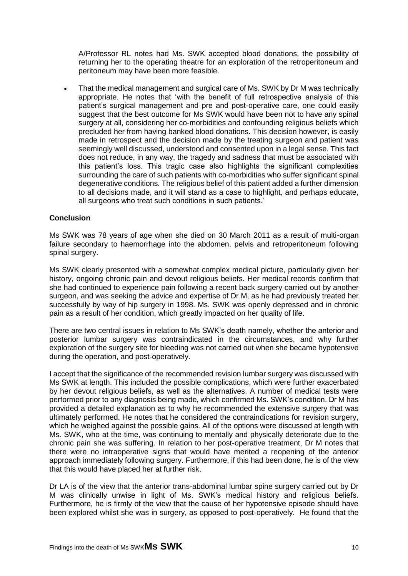A/Professor RL notes had Ms. SWK accepted blood donations, the possibility of returning her to the operating theatre for an exploration of the retroperitoneum and peritoneum may have been more feasible.

 That the medical management and surgical care of Ms. SWK by Dr M was technically appropriate. He notes that 'with the benefit of full retrospective analysis of this patient's surgical management and pre and post-operative care, one could easily suggest that the best outcome for Ms SWK would have been not to have any spinal surgery at all, considering her co-morbidities and confounding religious beliefs which precluded her from having banked blood donations. This decision however, is easily made in retrospect and the decision made by the treating surgeon and patient was seemingly well discussed, understood and consented upon in a legal sense. This fact does not reduce, in any way, the tragedy and sadness that must be associated with this patient's loss. This tragic case also highlights the significant complexities surrounding the care of such patients with co-morbidities who suffer significant spinal degenerative conditions. The religious belief of this patient added a further dimension to all decisions made, and it will stand as a case to highlight, and perhaps educate, all surgeons who treat such conditions in such patients.'

# <span id="page-11-0"></span>**Conclusion**

Ms SWK was 78 years of age when she died on 30 March 2011 as a result of multi-organ failure secondary to haemorrhage into the abdomen, pelvis and retroperitoneum following spinal surgery.

Ms SWK clearly presented with a somewhat complex medical picture, particularly given her history, ongoing chronic pain and devout religious beliefs. Her medical records confirm that she had continued to experience pain following a recent back surgery carried out by another surgeon, and was seeking the advice and expertise of Dr M, as he had previously treated her successfully by way of hip surgery in 1998. Ms. SWK was openly depressed and in chronic pain as a result of her condition, which greatly impacted on her quality of life.

There are two central issues in relation to Ms SWK's death namely, whether the anterior and posterior lumbar surgery was contraindicated in the circumstances, and why further exploration of the surgery site for bleeding was not carried out when she became hypotensive during the operation, and post-operatively.

I accept that the significance of the recommended revision lumbar surgery was discussed with Ms SWK at length. This included the possible complications, which were further exacerbated by her devout religious beliefs, as well as the alternatives. A number of medical tests were performed prior to any diagnosis being made, which confirmed Ms. SWK's condition. Dr M has provided a detailed explanation as to why he recommended the extensive surgery that was ultimately performed. He notes that he considered the contraindications for revision surgery, which he weighed against the possible gains. All of the options were discussed at length with Ms. SWK, who at the time, was continuing to mentally and physically deteriorate due to the chronic pain she was suffering. In relation to her post-operative treatment, Dr M notes that there were no intraoperative signs that would have merited a reopening of the anterior approach immediately following surgery. Furthermore, if this had been done, he is of the view that this would have placed her at further risk.

Dr LA is of the view that the anterior trans-abdominal lumbar spine surgery carried out by Dr M was clinically unwise in light of Ms. SWK's medical history and religious beliefs. Furthermore, he is firmly of the view that the cause of her hypotensive episode should have been explored whilst she was in surgery, as opposed to post-operatively. He found that the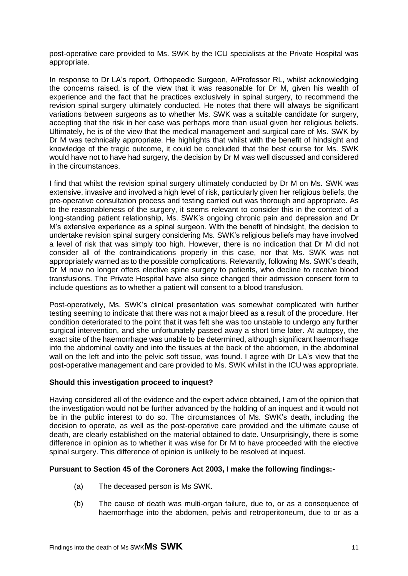post-operative care provided to Ms. SWK by the ICU specialists at the Private Hospital was appropriate.

In response to Dr LA's report, Orthopaedic Surgeon, A/Professor RL, whilst acknowledging the concerns raised, is of the view that it was reasonable for Dr M, given his wealth of experience and the fact that he practices exclusively in spinal surgery, to recommend the revision spinal surgery ultimately conducted. He notes that there will always be significant variations between surgeons as to whether Ms. SWK was a suitable candidate for surgery, accepting that the risk in her case was perhaps more than usual given her religious beliefs. Ultimately, he is of the view that the medical management and surgical care of Ms. SWK by Dr M was technically appropriate. He highlights that whilst with the benefit of hindsight and knowledge of the tragic outcome, it could be concluded that the best course for Ms. SWK would have not to have had surgery, the decision by Dr M was well discussed and considered in the circumstances.

I find that whilst the revision spinal surgery ultimately conducted by Dr M on Ms. SWK was extensive, invasive and involved a high level of risk, particularly given her religious beliefs, the pre-operative consultation process and testing carried out was thorough and appropriate. As to the reasonableness of the surgery, it seems relevant to consider this in the context of a long-standing patient relationship, Ms. SWK's ongoing chronic pain and depression and Dr M's extensive experience as a spinal surgeon. With the benefit of hindsight, the decision to undertake revision spinal surgery considering Ms. SWK's religious beliefs may have involved a level of risk that was simply too high. However, there is no indication that Dr M did not consider all of the contraindications properly in this case, nor that Ms. SWK was not appropriately warned as to the possible complications. Relevantly, following Ms. SWK's death, Dr M now no longer offers elective spine surgery to patients, who decline to receive blood transfusions. The Private Hospital have also since changed their admission consent form to include questions as to whether a patient will consent to a blood transfusion.

Post-operatively, Ms. SWK's clinical presentation was somewhat complicated with further testing seeming to indicate that there was not a major bleed as a result of the procedure. Her condition deteriorated to the point that it was felt she was too unstable to undergo any further surgical intervention, and she unfortunately passed away a short time later. At autopsy, the exact site of the haemorrhage was unable to be determined, although significant haemorrhage into the abdominal cavity and into the tissues at the back of the abdomen, in the abdominal wall on the left and into the pelvic soft tissue, was found. I agree with Dr LA's view that the post-operative management and care provided to Ms. SWK whilst in the ICU was appropriate.

# <span id="page-12-0"></span>**Should this investigation proceed to inquest?**

Having considered all of the evidence and the expert advice obtained, I am of the opinion that the investigation would not be further advanced by the holding of an inquest and it would not be in the public interest to do so. The circumstances of Ms. SWK's death, including the decision to operate, as well as the post-operative care provided and the ultimate cause of death, are clearly established on the material obtained to date. Unsurprisingly, there is some difference in opinion as to whether it was wise for Dr M to have proceeded with the elective spinal surgery. This difference of opinion is unlikely to be resolved at inquest.

# **Pursuant to Section 45 of the Coroners Act 2003, I make the following findings:-**

- <span id="page-12-1"></span>(a) The deceased person is Ms SWK.
- (b) The cause of death was multi-organ failure, due to, or as a consequence of haemorrhage into the abdomen, pelvis and retroperitoneum, due to or as a